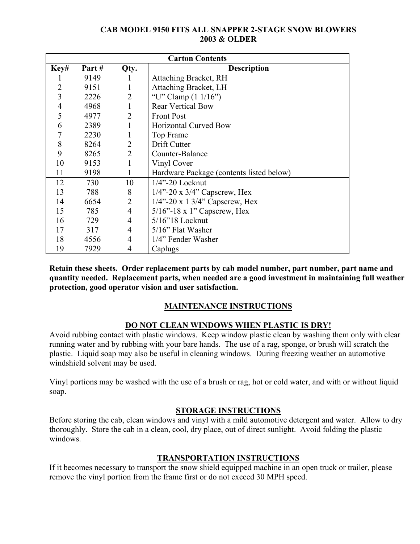### **CAB MODEL 9150 FITS ALL SNAPPER 2-STAGE SNOW BLOWERS 2003 & OLDER**

| <b>Carton Contents</b> |       |                |                                          |
|------------------------|-------|----------------|------------------------------------------|
| Key#                   | Part# | Qty.           | <b>Description</b>                       |
|                        | 9149  | 1              | Attaching Bracket, RH                    |
| 2                      | 9151  | 1              | Attaching Bracket, LH                    |
| 3                      | 2226  | $\overline{2}$ | "U" Clamp $(1 1/16")$                    |
| $\overline{4}$         | 4968  | $\mathbf{1}$   | <b>Rear Vertical Bow</b>                 |
| 5                      | 4977  | $\overline{2}$ | <b>Front Post</b>                        |
| 6                      | 2389  | 1              | <b>Horizontal Curved Bow</b>             |
| 7                      | 2230  | $\mathbf{1}$   | Top Frame                                |
| 8                      | 8264  | $\overline{2}$ | Drift Cutter                             |
| 9                      | 8265  | $\overline{2}$ | Counter-Balance                          |
| 10                     | 9153  | 1              | Vinyl Cover                              |
| 11                     | 9198  | $\mathbf{1}$   | Hardware Package (contents listed below) |
| 12                     | 730   | 10             | $1/4$ "-20 Locknut                       |
| 13                     | 788   | 8              | $1/4$ "-20 x $3/4$ " Capscrew, Hex       |
| 14                     | 6654  | $\overline{2}$ | $1/4$ "-20 x 1 3/4" Capscrew, Hex        |
| 15                     | 785   | $\overline{4}$ | $5/16$ "-18 x 1" Capscrew, Hex           |
| 16                     | 729   | 4              | $5/16$ "18 Locknut                       |
| 17                     | 317   | 4              | $5/16$ " Flat Washer                     |
| 18                     | 4556  | 4              | 1/4" Fender Washer                       |
| 19                     | 7929  | 4              | Caplugs                                  |

**Retain these sheets. Order replacement parts by cab model number, part number, part name and quantity needed. Replacement parts, when needed are a good investment in maintaining full weather protection, good operator vision and user satisfaction.** 

## **MAINTENANCE INSTRUCTIONS**

## **DO NOT CLEAN WINDOWS WHEN PLASTIC IS DRY!**

Avoid rubbing contact with plastic windows. Keep window plastic clean by washing them only with clear running water and by rubbing with your bare hands. The use of a rag, sponge, or brush will scratch the plastic. Liquid soap may also be useful in cleaning windows. During freezing weather an automotive windshield solvent may be used.

Vinyl portions may be washed with the use of a brush or rag, hot or cold water, and with or without liquid soap.

## **STORAGE INSTRUCTIONS**

Before storing the cab, clean windows and vinyl with a mild automotive detergent and water. Allow to dry thoroughly. Store the cab in a clean, cool, dry place, out of direct sunlight. Avoid folding the plastic windows.

## **TRANSPORTATION INSTRUCTIONS**

If it becomes necessary to transport the snow shield equipped machine in an open truck or trailer, please remove the vinyl portion from the frame first or do not exceed 30 MPH speed.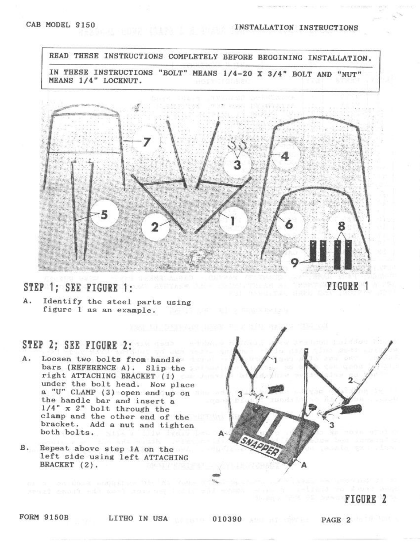#### INSTALLATION INSTRUCTIONS

READ THESE INSTRUCTIONS COMPLETELY BEFORE BEGGINING INSTALLATION. IN THESE INSTRUCTIONS "BOLT" MEANS 1/4-20 X 3/4" BOLT AND "NUT" MEANS 1/4" LOCKNUT.



# STEP 1; SEE FIGURE 1:

Α. Identify the steel parts using figure 1 as an example.

## STEP 2; SEE FIGURE 2:

- A. Loosen two bolts from handle bars (REFERENCE A). Slip the right ATTACHING BRACKET (1) under the bolt head. Now place a "U" CLAMP (3) open end up on the handle bar and insert a  $1/4$ " x 2" bolt through the clamp and the other end of the bracket. Add a nut and tighten both bolts.
- $B<sub>1</sub>$ Repeat above step 1A on the left side using left ATTACHING BRACKET (2).



#### **FORM 9150B**

LITHO IN USA **EXECUTE:** 010390 **AND IN PAGE 2**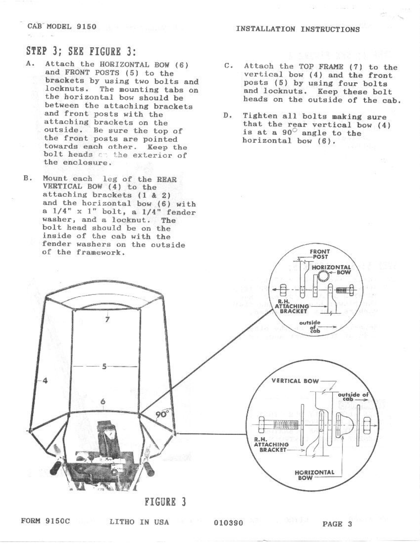#### INSTALLATION INSTRUCTIONS

### CAB MODEL 9150

# STEP 3: SEE FIGURE 3:

- A. Attach the HORIZONTAL BOW (6) and FRONT POSTS (5) to the brackets by using two bolts and locknuts. The mounting tabs on the horizontal bow should be between the attaching brackets and front posts with the attaching brackets on the outside. Be sure the top of the front posts are pointed towards each other. Keep the bolt heads on the exterior of the enclosure.
- **B.** Mount each leg of the REAR VERTICAL BOW (4) to the attaching brackets (1 & 2) and the horizontal bow (6) with a  $1/4$ " x 1" bolt, a  $1/4$ " fender washer, and a locknut. The bolt head should be on the inside of the cab with the fender washers on the outside of the framework.
- $C<sub>1</sub>$ Attach the TOP FRAME (7) to the vertical bow (4) and the front posts (5) by using four bolts and locknuts. Keep these bolt heads on the outside of the cab.
	- $D<sub>1</sub>$ Tighten all bolts making sure that the rear vertical bow (4) is at a 90° angle to the horizontal bow (6).



**FIGURE 3**